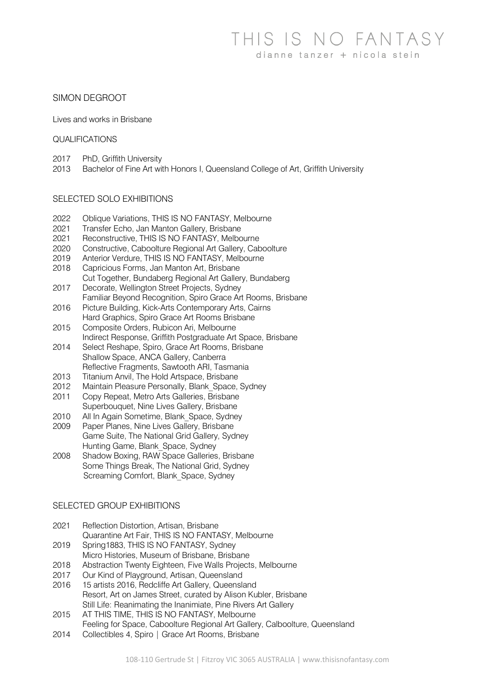# SIMON DEGROOT

Lives and works in Brisbane

### QUALIFICATIONS

- 2017 PhD, Griffith University
- 2013 Bachelor of Fine Art with Honors I, Queensland College of Art, Griffith University

## SELECTED SOLO EXHIBITIONS

- 2022 Oblique Variations, THIS IS NO FANTASY, Melbourne
- 2021 Transfer Echo, Jan Manton Gallery, Brisbane
- 2021 Reconstructive, THIS IS NO FANTASY, Melbourne
- 2020 Constructive, Caboolture Regional Art Gallery, Caboolture
- 2019 Anterior Verdure, THIS IS NO FANTASY, Melbourne
- 2018 Capricious Forms, Jan Manton Art, Brisbane
- Cut Together, Bundaberg Regional Art Gallery, Bundaberg
- 2017 Decorate, Wellington Street Projects, Sydney
- Familiar Beyond Recognition, Spiro Grace Art Rooms, Brisbane
- 2016 Picture Building, Kick-Arts Contemporary Arts, Cairns Hard Graphics, Spiro Grace Art Rooms Brisbane
- 2015 Composite Orders, Rubicon Ari, Melbourne Indirect Response, Griffith Postgraduate Art Space, Brisbane
- 2014 Select Reshape, Spiro, Grace Art Rooms, Brisbane Shallow Space, ANCA Gallery, Canberra Reflective Fragments, Sawtooth ARI, Tasmania
- 2013 Titanium Anvil, The Hold Artspace, Brisbane
- 2012 Maintain Pleasure Personally, Blank\_Space, Sydney
- 2011 Copy Repeat, Metro Arts Galleries, Brisbane
- Superbouquet, Nine Lives Gallery, Brisbane
- 2010 All In Again Sometime, Blank\_Space, Sydney 2009 Paper Planes, Nine Lives Gallery, Brisbane Game Suite, The National Grid Gallery, Sydney Hunting Game, Blank\_Space, Sydney
- 2008 Shadow Boxing, RAW Space Galleries, Brisbane Some Things Break, The National Grid, Sydney Screaming Comfort, Blank Space, Sydney

## SELECTED GROUP EXHIBITIONS

- 2021 Reflection Distortion, Artisan, Brisbane Quarantine Art Fair, THIS IS NO FANTASY, Melbourne
- 2019 Spring1883, THIS IS NO FANTASY, Sydney Micro Histories, Museum of Brisbane, Brisbane
- 2018 Abstraction Twenty Eighteen, Five Walls Projects, Melbourne
- 2017 Our Kind of Playground, Artisan, Queensland
- 2016 15 artists 2016, Redcliffe Art Gallery, Queensland Resort, Art on James Street, curated by Alison Kubler, Brisbane Still Life: Reanimating the Inanimiate, Pine Rivers Art Gallery
- 2015 AT THIS TIME, THIS IS NO FANTASY, Melbourne Feeling for Space, Caboolture Regional Art Gallery, Calboolture, Queensland
- 2014 Collectibles 4, Spiro | Grace Art Rooms, Brisbane